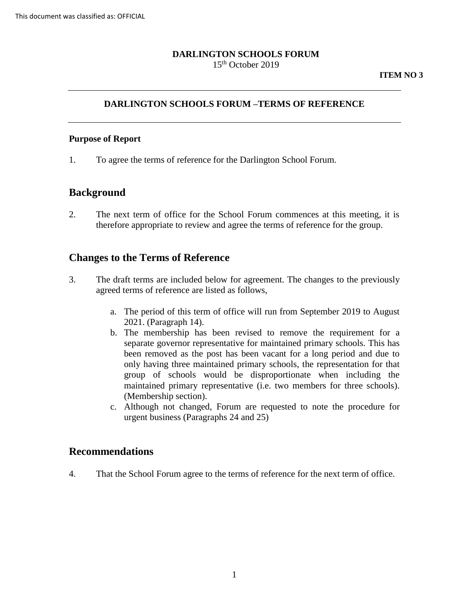#### **DARLINGTON SCHOOLS FORUM**  15th October 2019

### **DARLINGTON SCHOOLS FORUM –TERMS OF REFERENCE**

#### **Purpose of Report**

1. To agree the terms of reference for the Darlington School Forum.

## **Background**

 2. The next term of office for the School Forum commences at this meeting, it is therefore appropriate to review and agree the terms of reference for the group.

#### **Changes to the Terms of Reference**

- 3. The draft terms are included below for agreement. The changes to the previously agreed terms of reference are listed as follows,
	- a. The period of this term of office will run from September 2019 to August 2021. (Paragraph 14).
	- b. The membership has been revised to remove the requirement for a been removed as the post has been vacant for a long period and due to only having three maintained primary schools, the representation for that group of schools would be disproportionate when including the maintained primary representative (i.e. two members for three schools). separate governor representative for maintained primary schools. This has (Membership section).
	- c. Although not changed, Forum are requested to note the procedure for urgent business (Paragraphs 24 and 25)

#### **Recommendations**

4. That the School Forum agree to the terms of reference for the next term of office.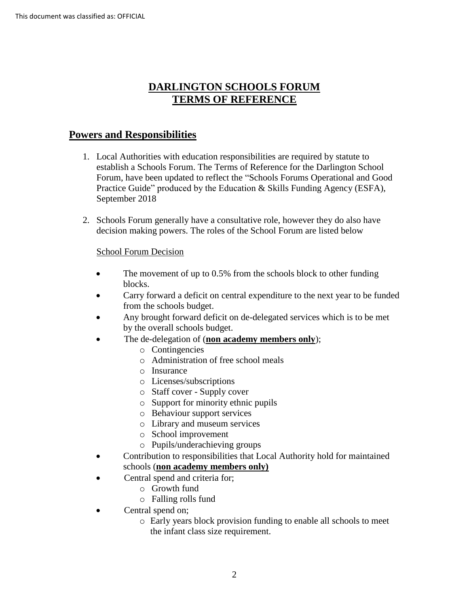# **DARLINGTON SCHOOLS FORUM TERMS OF REFERENCE**

# **Powers and Responsibilities**

- 1. Local Authorities with education responsibilities are required by statute to establish a Schools Forum. The Terms of Reference for the Darlington School Forum, have been updated to reflect the "Schools Forums Operational and Good Practice Guide" produced by the Education & Skills Funding Agency (ESFA), September 2018
- 2. Schools Forum generally have a consultative role, however they do also have decision making powers. The roles of the School Forum are listed below

#### School Forum Decision

- The movement of up to 0.5% from the schools block to other funding blocks.
- Carry forward a deficit on central expenditure to the next year to be funded from the schools budget.
- Any brought forward deficit on de-delegated services which is to be met by the overall schools budget.
- The de-delegation of (**non academy members only**);
	- o Contingencies
	- o Administration of free school meals
	- o Insurance
	- o Licenses/subscriptions
	- o Staff cover Supply cover
	- o Support for minority ethnic pupils
	- o Behaviour support services
	- o Library and museum services
	- o School improvement
	- o Pupils/underachieving groups
- Contribution to responsibilities that Local Authority hold for maintained schools (**non academy members only)** 
	- Central spend and criteria for;
		- o Growth fund
		- o Falling rolls fund
- Central spend on;
	- o Early years block provision funding to enable all schools to meet the infant class size requirement.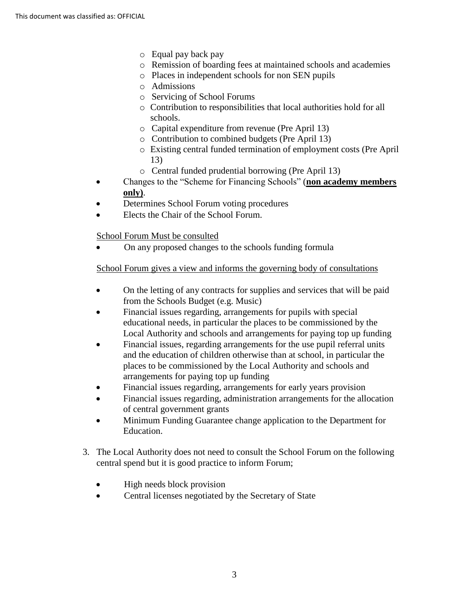- o Equal pay back pay
- o Remission of boarding fees at maintained schools and academies
- o Places in independent schools for non SEN pupils
- o Admissions
- o Servicing of School Forums
- o Contribution to responsibilities that local authorities hold for all schools.
- o Capital expenditure from revenue (Pre April 13)
- o Contribution to combined budgets (Pre April 13)
- o Existing central funded termination of employment costs (Pre April 13)
- o Central funded prudential borrowing (Pre April 13)
- Changes to the "Scheme for Financing Schools" (**non academy members only)**.
- Determines School Forum voting procedures
- Elects the Chair of the School Forum.

School Forum Must be consulted

• On any proposed changes to the schools funding formula

School Forum gives a view and informs the governing body of consultations

- On the letting of any contracts for supplies and services that will be paid from the Schools Budget (e.g. Music)
- Financial issues regarding, arrangements for pupils with special educational needs, in particular the places to be commissioned by the Local Authority and schools and arrangements for paying top up funding
- Financial issues, regarding arrangements for the use pupil referral units and the education of children otherwise than at school, in particular the places to be commissioned by the Local Authority and schools and arrangements for paying top up funding
- Financial issues regarding, arrangements for early years provision
- Financial issues regarding, administration arrangements for the allocation of central government grants
- Minimum Funding Guarantee change application to the Department for Education.
- 3. The Local Authority does not need to consult the School Forum on the following central spend but it is good practice to inform Forum;
	- High needs block provision
	- Central licenses negotiated by the Secretary of State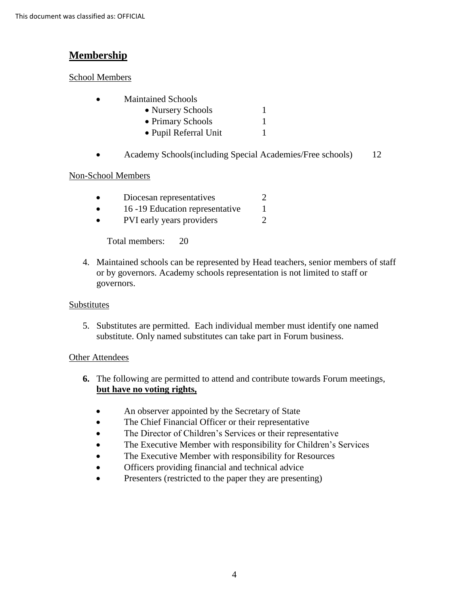# **Membership**

### School Members

• Maintained Schools

| • Nursery Schools     |  |
|-----------------------|--|
| • Primary Schools     |  |
| • Pupil Referral Unit |  |

• Academy Schools(including Special Academies/Free schools) 12

## Non-School Members

| Diocesan representatives                                                                                                                                                                                                                                                                                                           |  |
|------------------------------------------------------------------------------------------------------------------------------------------------------------------------------------------------------------------------------------------------------------------------------------------------------------------------------------|--|
| 16 -19 Education representative                                                                                                                                                                                                                                                                                                    |  |
| $\mathbf{N}$ $\mathbf{N}$ $\mathbf{N}$ $\mathbf{N}$ $\mathbf{N}$ $\mathbf{N}$ $\mathbf{N}$ $\mathbf{N}$ $\mathbf{N}$ $\mathbf{N}$ $\mathbf{N}$ $\mathbf{N}$ $\mathbf{N}$ $\mathbf{N}$ $\mathbf{N}$ $\mathbf{N}$ $\mathbf{N}$ $\mathbf{N}$ $\mathbf{N}$ $\mathbf{N}$ $\mathbf{N}$ $\mathbf{N}$ $\mathbf{N}$ $\mathbf{N}$ $\mathbf{$ |  |

• PVI early years providers 2

Total members: 20

4. Maintained schools can be represented by Head teachers, senior members of staff or by governors. Academy schools representation is not limited to staff or governors.

#### Substitutes

5. Substitutes are permitted. Each individual member must identify one named substitute. Only named substitutes can take part in Forum business.

#### Other Attendees

- **6.** The following are permitted to attend and contribute towards Forum meetings, **but have no voting rights,** 
	- An observer appointed by the Secretary of State
	- The Chief Financial Officer or their representative
	- The Director of Children's Services or their representative
	- The Executive Member with responsibility for Children's Services
	- The Executive Member with responsibility for Resources
	- Officers providing financial and technical advice
	- Presenters (restricted to the paper they are presenting)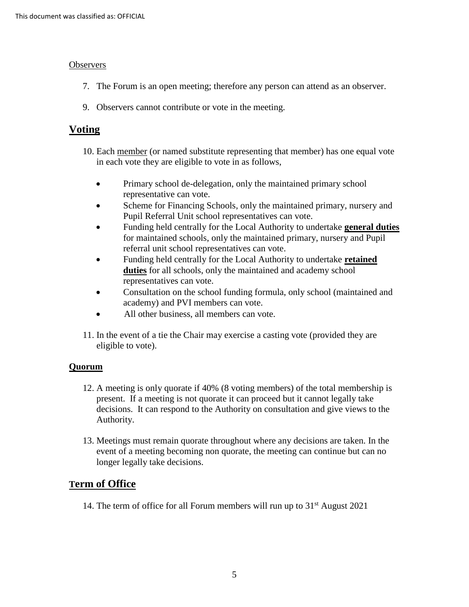#### **Observers**

- 7. The Forum is an open meeting; therefore any person can attend as an observer.
- 9. Observers cannot contribute or vote in the meeting.

## **Voting**

- in each vote they are eligible to vote in as follows, 10. Each member (or named substitute representing that member) has one equal vote
	- Primary school de-delegation, only the maintained primary school representative can vote.
	- Scheme for Financing Schools, only the maintained primary, nursery and Pupil Referral Unit school representatives can vote.
	- • Funding held centrally for the Local Authority to undertake **general duties**  for maintained schools, only the maintained primary, nursery and Pupil referral unit school representatives can vote.
	- • Funding held centrally for the Local Authority to undertake **retained duties** for all schools, only the maintained and academy school representatives can vote.
	- Consultation on the school funding formula, only school (maintained and academy) and PVI members can vote.
	- All other business, all members can vote.
- 11. In the event of a tie the Chair may exercise a casting vote (provided they are eligible to vote).

#### **Quorum**

- 12. A meeting is only quorate if 40% (8 voting members) of the total membership is present. If a meeting is not quorate it can proceed but it cannot legally take decisions. It can respond to the Authority on consultation and give views to the Authority.
- 13. Meetings must remain quorate throughout where any decisions are taken. In the event of a meeting becoming non quorate, the meeting can continue but can no longer legally take decisions.

# **Term of Office**

14. The term of office for all Forum members will run up to  $31<sup>st</sup>$  August 2021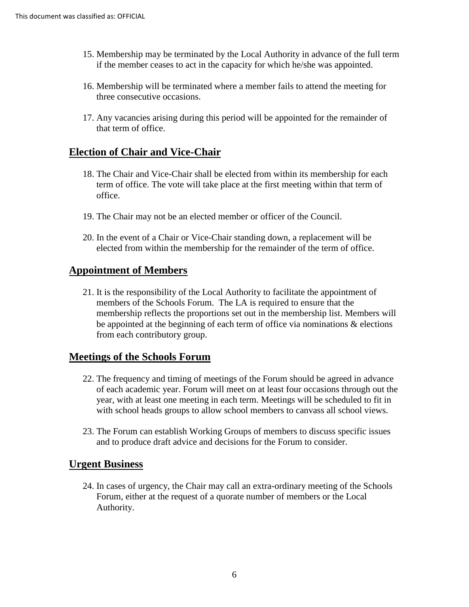- 15. Membership may be terminated by the Local Authority in advance of the full term if the member ceases to act in the capacity for which he/she was appointed.
- 16. Membership will be terminated where a member fails to attend the meeting for three consecutive occasions.
- 17. Any vacancies arising during this period will be appointed for the remainder of that term of office.

## **Election of Chair and Vice-Chair**

- 18. The Chair and Vice-Chair shall be elected from within its membership for each term of office. The vote will take place at the first meeting within that term of office.
- 19. The Chair may not be an elected member or officer of the Council.
- 20. In the event of a Chair or Vice-Chair standing down, a replacement will be elected from within the membership for the remainder of the term of office.

#### **Appointment of Members**

21. It is the responsibility of the Local Authority to facilitate the appointment of members of the Schools Forum. The LA is required to ensure that the membership reflects the proportions set out in the membership list. Members will be appointed at the beginning of each term of office via nominations & elections from each contributory group.

#### **Meetings of the Schools Forum**

- 22. The frequency and timing of meetings of the Forum should be agreed in advance of each academic year. Forum will meet on at least four occasions through out the year, with at least one meeting in each term. Meetings will be scheduled to fit in with school heads groups to allow school members to canvass all school views.
- 23. The Forum can establish Working Groups of members to discuss specific issues and to produce draft advice and decisions for the Forum to consider.

#### **Urgent Business**

24. In cases of urgency, the Chair may call an extra-ordinary meeting of the Schools Forum, either at the request of a quorate number of members or the Local Authority.